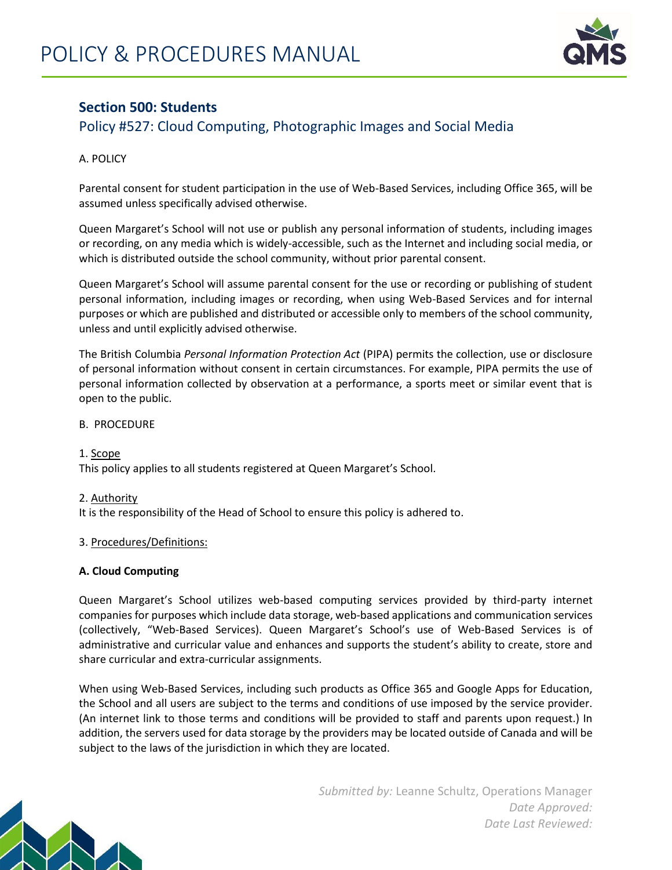

## **Section 500: Students**

# Policy #527: Cloud Computing, Photographic Images and Social Media

## A. POLICY

Parental consent for student participation in the use of Web-Based Services, including Office 365, will be assumed unless specifically advised otherwise.

Queen Margaret's School will not use or publish any personal information of students, including images or recording, on any media which is widely-accessible, such as the Internet and including social media, or which is distributed outside the school community, without prior parental consent.

Queen Margaret's School will assume parental consent for the use or recording or publishing of student personal information, including images or recording, when using Web-Based Services and for internal purposes or which are published and distributed or accessible only to members of the school community, unless and until explicitly advised otherwise.

The British Columbia *Personal Information Protection Act* (PIPA) permits the collection, use or disclosure of personal information without consent in certain circumstances. For example, PIPA permits the use of personal information collected by observation at a performance, a sports meet or similar event that is open to the public.

## B. PROCEDURE

## 1. Scope

This policy applies to all students registered at Queen Margaret's School.

## 2. Authority

It is the responsibility of the Head of School to ensure this policy is adhered to.

#### 3. Procedures/Definitions:

#### **A. Cloud Computing**

Queen Margaret's School utilizes web-based computing services provided by third-party internet companies for purposes which include data storage, web-based applications and communication services (collectively, "Web-Based Services). Queen Margaret's School's use of Web-Based Services is of administrative and curricular value and enhances and supports the student's ability to create, store and share curricular and extra-curricular assignments.

When using Web-Based Services, including such products as Office 365 and Google Apps for Education, the School and all users are subject to the terms and conditions of use imposed by the service provider. (An internet link to those terms and conditions will be provided to staff and parents upon request.) In addition, the servers used for data storage by the providers may be located outside of Canada and will be subject to the laws of the jurisdiction in which they are located.